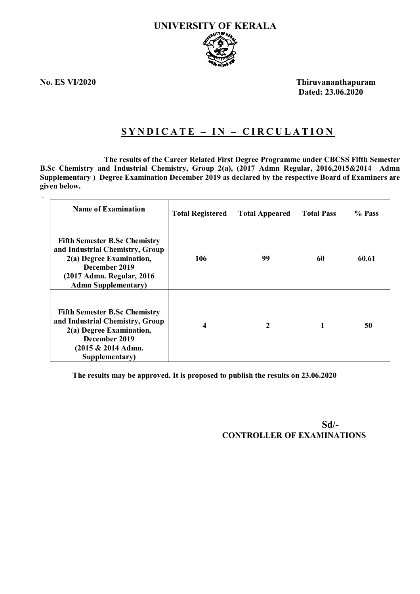

.

**No. ES VI/2020 Thiruvananthapuram Dated: 23.06.2020**

# **S Y N D I C A T E – I N – C I R C U L A T I O N**

 **The results of the Career Related First Degree Programme under CBCSS Fifth Semester B.Sc Chemistry and Industrial Chemistry, Group 2(a), (2017 Admn Regular, 2016,2015&2014 Admn Supplementary ) Degree Examination December 2019 as declared by the respective Board of Examiners are given below.**

| <b>Name of Examination</b>                                                                                                                                                       | <b>Total Registered</b> | <b>Total Appeared</b> | <b>Total Pass</b> | % Pass |
|----------------------------------------------------------------------------------------------------------------------------------------------------------------------------------|-------------------------|-----------------------|-------------------|--------|
| <b>Fifth Semester B.Sc Chemistry</b><br>and Industrial Chemistry, Group<br>2(a) Degree Examination,<br>December 2019<br>(2017 Admn. Regular, 2016)<br><b>Admn Supplementary)</b> | 106                     | 99                    | 60                | 60.61  |
| <b>Fifth Semester B.Sc Chemistry</b><br>and Industrial Chemistry, Group<br>2(a) Degree Examination,<br>December 2019<br>$(2015 \& 2014$ Admn.<br>Supplementary)                  | 4                       | 2                     |                   | 50     |

**The results may be approved. It is proposed to publish the results on 23.06.2020**

 **Sd/- CONTROLLER OF EXAMINATIONS**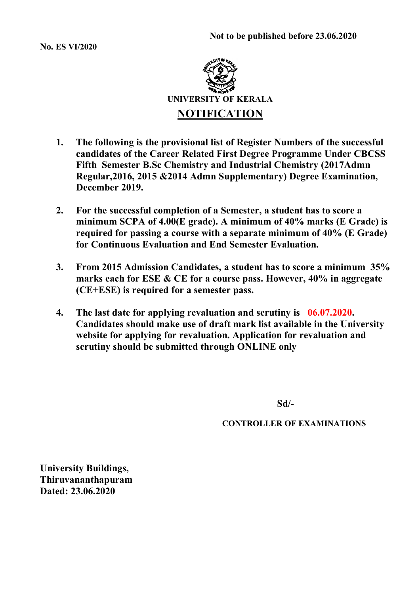**No. ES VI/2020**



- **1. The following is the provisional list of Register Numbers of the successful candidates of the Career Related First Degree Programme Under CBCSS Fifth Semester B.Sc Chemistry and Industrial Chemistry (2017Admn Regular,2016, 2015 &2014 Admn Supplementary) Degree Examination, December 2019.**
- **2. For the successful completion of a Semester, a student has to score a minimum SCPA of 4.00(E grade). A minimum of 40% marks (E Grade) is required for passing a course with a separate minimum of 40% (E Grade) for Continuous Evaluation and End Semester Evaluation.**
- **3. From 2015 Admission Candidates, a student has to score a minimum 35% marks each for ESE & CE for a course pass. However, 40% in aggregate (CE+ESE) is required for a semester pass.**
- **4. The last date for applying revaluation and scrutiny is 06.07.2020. Candidates should make use of draft mark list available in the University website for applying for revaluation. Application for revaluation and scrutiny should be submitted through ONLINE only**

**Sd/-**

**CONTROLLER OF EXAMINATIONS**

**University Buildings, Thiruvananthapuram Dated: 23.06.2020**